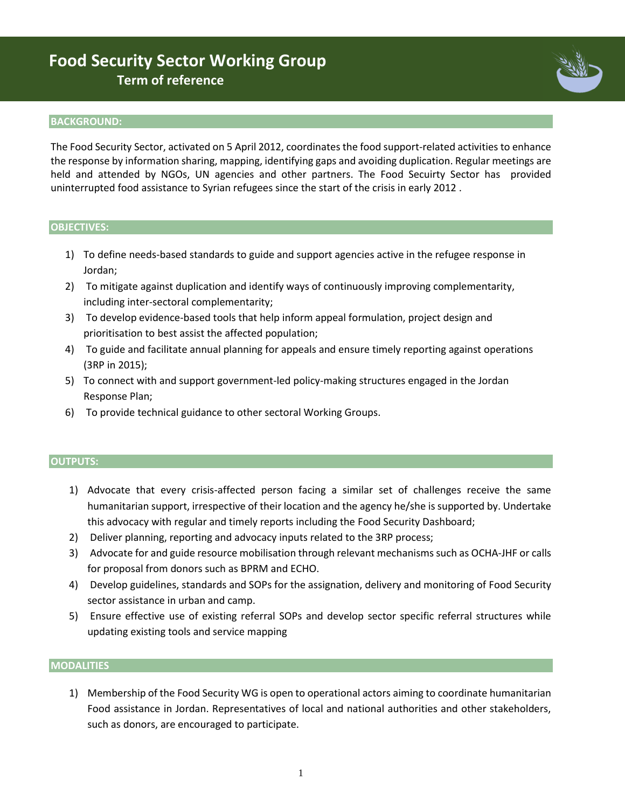## **Food Security Sector Working Group Term of reference**

#### **BACKGROUND:**

The Food Security Sector, activated on 5 April 2012, coordinates the food support-related activities to enhance the response by information sharing, mapping, identifying gaps and avoiding duplication. Regular meetings are held and attended by NGOs, UN agencies and other partners. The Food Secuirty Sector has provided uninterrupted food assistance to Syrian refugees since the start of the crisis in early 2012 .

#### **OBJECTIVES:**

- 1) To define needs-based standards to guide and support agencies active in the refugee response in Jordan;
- 2) To mitigate against duplication and identify ways of continuously improving complementarity, including inter-sectoral complementarity;
- 3) To develop evidence-based tools that help inform appeal formulation, project design and prioritisation to best assist the affected population;
- 4) To guide and facilitate annual planning for appeals and ensure timely reporting against operations (3RP in 2015);
- 5) To connect with and support government-led policy-making structures engaged in the Jordan Response Plan;
- 6) To provide technical guidance to other sectoral Working Groups.

#### **OUTPUTS:**

- 1) Advocate that every crisis-affected person facing a similar set of challenges receive the same humanitarian support, irrespective of their location and the agency he/she is supported by. Undertake this advocacy with regular and timely reports including the Food Security Dashboard;
- 2) Deliver planning, reporting and advocacy inputs related to the 3RP process;
- 3) Advocate for and guide resource mobilisation through relevant mechanisms such as OCHA-JHF or calls for proposal from donors such as BPRM and ECHO.
- 4) Develop guidelines, standards and SOPs for the assignation, delivery and monitoring of Food Security sector assistance in urban and camp.
- 5) Ensure effective use of existing referral SOPs and develop sector specific referral structures while updating existing tools and service mapping

#### **MODALITIES**

1) Membership of the Food Security WG is open to operational actors aiming to coordinate humanitarian Food assistance in Jordan. Representatives of local and national authorities and other stakeholders, such as donors, are encouraged to participate.